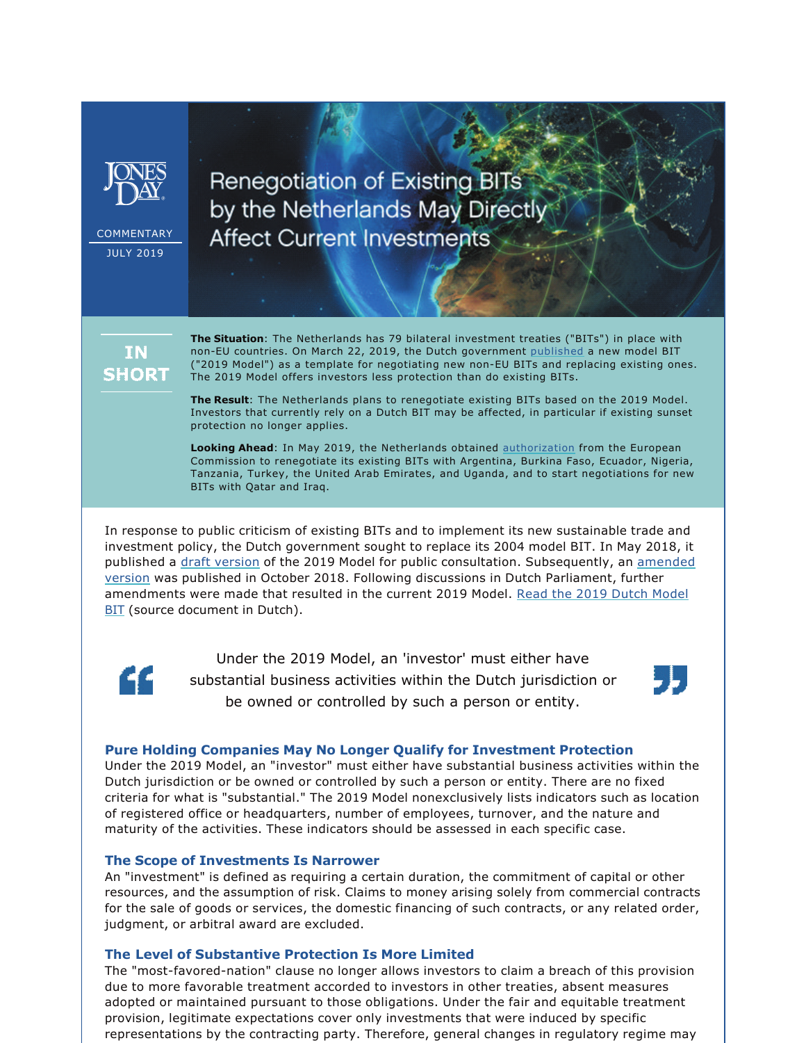

COMMENTARY JULY 2019

**Renegotiation of Existing BITs** by the Netherlands May Directly **Affect Current Investments** 

# IN. **SHORT**

**The Situation**: The Netherlands has 79 bilateral investment treaties ("BITs") in place with non-EU countries. On March 22, 2019, the Dutch government [published](https://www.rijksoverheid.nl/ministeries/ministerie-van-buitenlandse-zaken/documenten/publicaties/2019/03/22/nieuwe-modeltekst-investeringsakkoorden) a new model BIT ("2019 Model") as a template for negotiating new non-EU BITs and replacing existing ones. The 2019 Model offers investors less protection than do existing BITs.

**The Result**: The Netherlands plans to renegotiate existing BITs based on the 2019 Model. Investors that currently rely on a Dutch BIT may be affected, in particular if existing sunset protection no longer applies.

**Looking Ahead**: In May 2019, the Netherlands obtained [authorization](https://eur-lex.europa.eu/legal-content/EN/TXT/PDF/?uri=CELEX%3A32012R1219&from=EN) from the European Commission to renegotiate its existing BITs with Argentina, Burkina Faso, Ecuador, Nigeria, Tanzania, Turkey, the United Arab Emirates, and Uganda, and to start negotiations for new BITs with Qatar and Iraq.

In response to public criticism of existing BITs and to implement its new sustainable trade and investment policy, the Dutch government sought to replace its 2004 model BIT. In May 2018, it published a [draft version](file:///C:/Users/JP018992/Downloads/Modeltekst%20Internetconsultatie.pdf) of the 2019 Model for public consultation. Subsequently, an amended [version](https://www.rijksoverheid.nl/ministeries/ministerie-van-buitenlandse-zaken/documenten/publicaties/2018/10/26/modeltekst-voor-bilaterale-investeringsakkoorden) was published in October 2018. Following discussions in Dutch Parliament, further amendments were made that resulted in the current 2019 Model. [Read the 2019 Dutch Model](https://www.rijksoverheid.nl/ministeries/ministerie-van-buitenlandse-zaken/documenten/publicaties/2019/03/22/nieuwe-modeltekst-investeringsakkoorden) **[BIT](https://www.rijksoverheid.nl/ministeries/ministerie-van-buitenlandse-zaken/documenten/publicaties/2019/03/22/nieuwe-modeltekst-investeringsakkoorden)** (source document in Dutch).



Under the 2019 Model, an 'investor' must either have substantial business activities within the Dutch jurisdiction or be owned or controlled by such a person or entity.



# **Pure Holding Companies May No Longer Qualify for Investment Protection**

Under the 2019 Model, an "investor" must either have substantial business activities within the Dutch jurisdiction or be owned or controlled by such a person or entity. There are no fixed criteria for what is "substantial." The 2019 Model nonexclusively lists indicators such as location of registered office or headquarters, number of employees, turnover, and the nature and maturity of the activities. These indicators should be assessed in each specific case.

# **The Scope of Investments Is Narrower**

An "investment" is defined as requiring a certain duration, the commitment of capital or other resources, and the assumption of risk. Claims to money arising solely from commercial contracts for the sale of goods or services, the domestic financing of such contracts, or any related order, judgment, or arbitral award are excluded.

# **The Level of Substantive Protection Is More Limited**

The "most-favored-nation" clause no longer allows investors to claim a breach of this provision due to more favorable treatment accorded to investors in other treaties, absent measures adopted or maintained pursuant to those obligations. Under the fair and equitable treatment provision, legitimate expectations cover only investments that were induced by specific representations by the contracting party. Therefore, general changes in regulatory regime may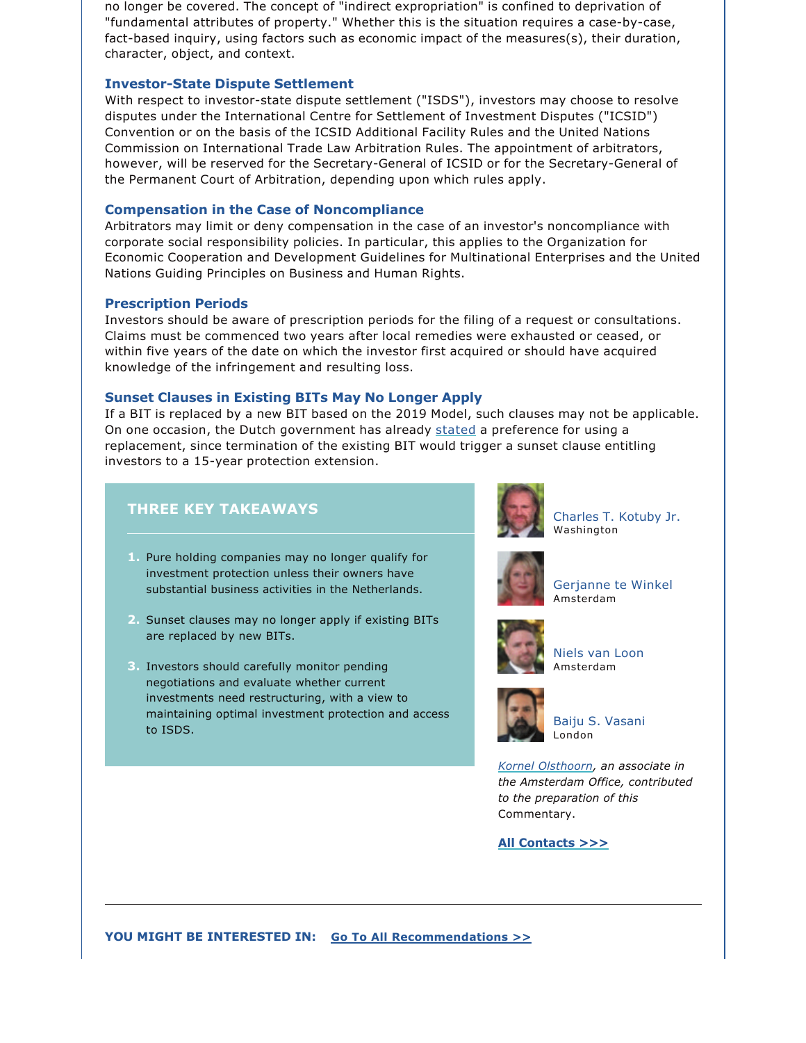no longer be covered. The concept of "indirect expropriation" is confined to deprivation of "fundamental attributes of property." Whether this is the situation requires a case-by-case, fact-based inquiry, using factors such as economic impact of the measures(s), their duration, character, object, and context.

#### **Investor-State Dispute Settlement**

With respect to investor-state dispute settlement ("ISDS"), investors may choose to resolve disputes under the International Centre for Settlement of Investment Disputes ("ICSID") Convention or on the basis of the ICSID Additional Facility Rules and the United Nations Commission on International Trade Law Arbitration Rules. The appointment of arbitrators, however, will be reserved for the Secretary-General of ICSID or for the Secretary-General of the Permanent Court of Arbitration, depending upon which rules apply.

#### **Compensation in the Case of Noncompliance**

Arbitrators may limit or deny compensation in the case of an investor's noncompliance with corporate social responsibility policies. In particular, this applies to the Organization for Economic Cooperation and Development Guidelines for Multinational Enterprises and the United Nations Guiding Principles on Business and Human Rights.

#### **Prescription Periods**

Investors should be aware of prescription periods for the filing of a request or consultations. Claims must be commenced two years after local remedies were exhausted or ceased, or within five years of the date on which the investor first acquired or should have acquired knowledge of the infringement and resulting loss.

#### **Sunset Clauses in Existing BITs May No Longer Apply**

If a BIT is replaced by a new BIT based on the 2019 Model, such clauses may not be applicable. On one occasion, the Dutch government has already [stated](https://zoek.officielebekendmakingen.nl/kst-33625-261.html) a preference for using a replacement, since termination of the existing BIT would trigger a sunset clause entitling investors to a 15-year protection extension.

# **THREE KEY TAKEAWAYS**

- **1.** Pure holding companies may no longer qualify for investment protection unless their owners have substantial business activities in the Netherlands.
- **2.** Sunset clauses may no longer apply if existing BITs are replaced by new BITs.
- **3.** Investors should carefully monitor pending negotiations and evaluate whether current investments need restructuring, with a view to maintaining optimal investment protection and access to ISDS.



[Charles T. Kotuby Jr.](https://www.jonesday.com/ctkotubyjr/) Washington



[Gerjanne te Winkel](https://www.jonesday.com/gtewinkel/) Amsterdam



[Niels van Loon](https://www.jonesday.com/nvanloon) Amsterdam



[Baiju S. Vasani](https://www.jonesday.com/bvasani/) London

*[Kornel Olsthoorn,](https://www.jonesday.com/kolsthoorn/) an associate in the Amsterdam Office, contributed to the preparation of this*  Commentary.

**[All Contacts >>>](https://jonesday-ecommunications.com/287/4124/downloads/netherlands-bit-contacts.pdf)**